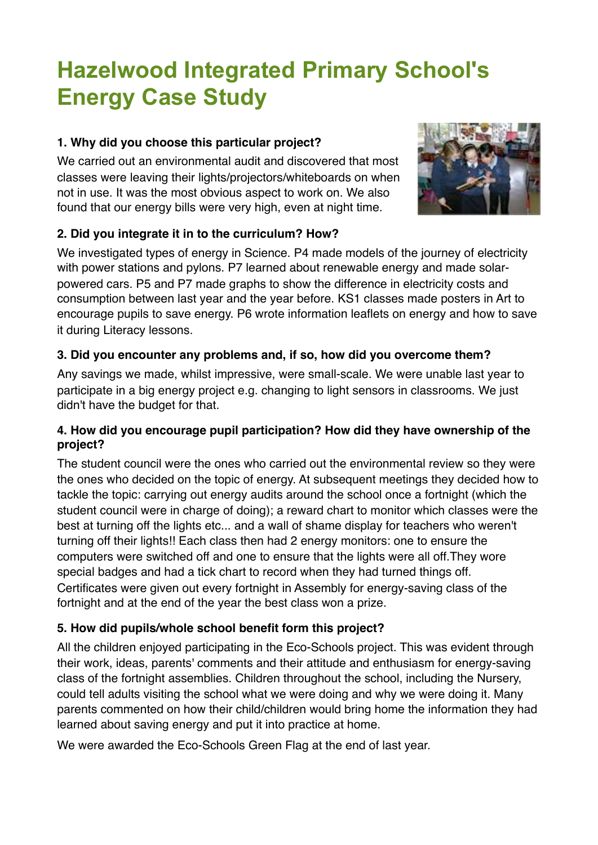# **Hazelwood Integrated Primary School's Energy Case Study**

# **1. Why did you choose this particular project?**

We carried out an environmental audit and discovered that most classes were leaving their lights/projectors/whiteboards on when not in use. It was the most obvious aspect to work on. We also found that our energy bills were very high, even at night time.



# **2. Did you integrate it in to the curriculum? How?**

We investigated types of energy in Science. P4 made models of the journey of electricity with power stations and pylons. P7 learned about renewable energy and made solarpowered cars. P5 and P7 made graphs to show the difference in electricity costs and consumption between last year and the year before. KS1 classes made posters in Art to encourage pupils to save energy. P6 wrote information leaflets on energy and how to save it during Literacy lessons.

# **3. Did you encounter any problems and, if so, how did you overcome them?**

Any savings we made, whilst impressive, were small-scale. We were unable last year to participate in a big energy project e.g. changing to light sensors in classrooms. We just didn't have the budget for that.

#### **4. How did you encourage pupil participation? How did they have ownership of the project?**

The student council were the ones who carried out the environmental review so they were the ones who decided on the topic of energy. At subsequent meetings they decided how to tackle the topic: carrying out energy audits around the school once a fortnight (which the student council were in charge of doing); a reward chart to monitor which classes were the best at turning off the lights etc... and a wall of shame display for teachers who weren't turning off their lights!! Each class then had 2 energy monitors: one to ensure the computers were switched off and one to ensure that the lights were all off.They wore special badges and had a tick chart to record when they had turned things off. Certificates were given out every fortnight in Assembly for energy-saving class of the fortnight and at the end of the year the best class won a prize.

# **5. How did pupils/whole school benefit form this project?**

All the children enjoyed participating in the Eco-Schools project. This was evident through their work, ideas, parents' comments and their attitude and enthusiasm for energy-saving class of the fortnight assemblies. Children throughout the school, including the Nursery, could tell adults visiting the school what we were doing and why we were doing it. Many parents commented on how their child/children would bring home the information they had learned about saving energy and put it into practice at home.

We were awarded the Eco-Schools Green Flag at the end of last year.